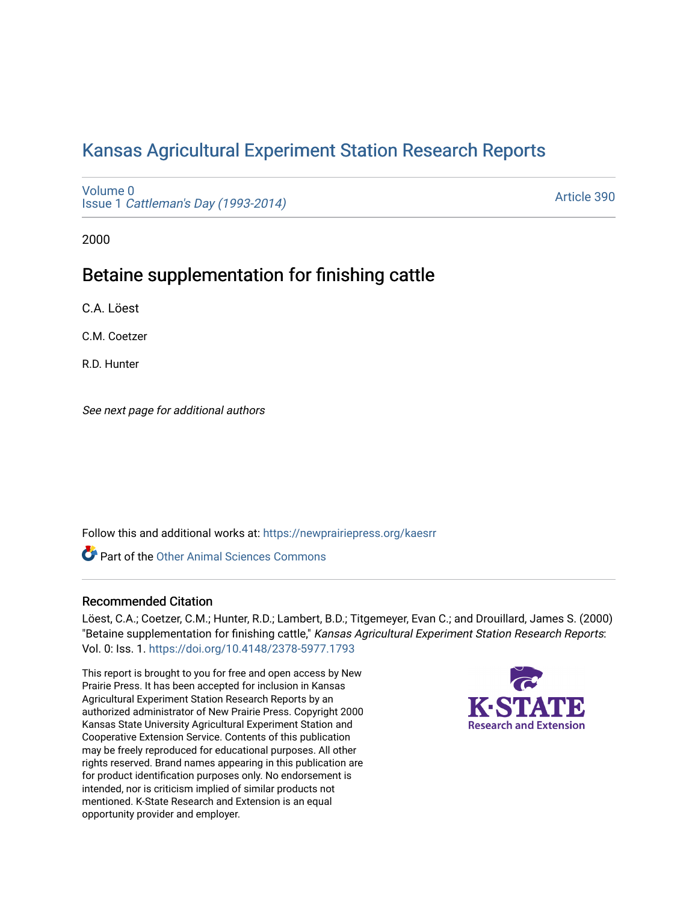# [Kansas Agricultural Experiment Station Research Reports](https://newprairiepress.org/kaesrr)

[Volume 0](https://newprairiepress.org/kaesrr/vol0) Issue 1 [Cattleman's Day \(1993-2014\)](https://newprairiepress.org/kaesrr/vol0/iss1) 

[Article 390](https://newprairiepress.org/kaesrr/vol0/iss1/390) 

2000

## Betaine supplementation for finishing cattle

C.A. Löest

C.M. Coetzer

R.D. Hunter

See next page for additional authors

Follow this and additional works at: [https://newprairiepress.org/kaesrr](https://newprairiepress.org/kaesrr?utm_source=newprairiepress.org%2Fkaesrr%2Fvol0%2Fiss1%2F390&utm_medium=PDF&utm_campaign=PDFCoverPages) 

**C** Part of the [Other Animal Sciences Commons](http://network.bepress.com/hgg/discipline/82?utm_source=newprairiepress.org%2Fkaesrr%2Fvol0%2Fiss1%2F390&utm_medium=PDF&utm_campaign=PDFCoverPages)

### Recommended Citation

Löest, C.A.; Coetzer, C.M.; Hunter, R.D.; Lambert, B.D.; Titgemeyer, Evan C.; and Drouillard, James S. (2000) "Betaine supplementation for finishing cattle," Kansas Agricultural Experiment Station Research Reports: Vol. 0: Iss. 1. <https://doi.org/10.4148/2378-5977.1793>

This report is brought to you for free and open access by New Prairie Press. It has been accepted for inclusion in Kansas Agricultural Experiment Station Research Reports by an authorized administrator of New Prairie Press. Copyright 2000 Kansas State University Agricultural Experiment Station and Cooperative Extension Service. Contents of this publication may be freely reproduced for educational purposes. All other rights reserved. Brand names appearing in this publication are for product identification purposes only. No endorsement is intended, nor is criticism implied of similar products not mentioned. K-State Research and Extension is an equal opportunity provider and employer.

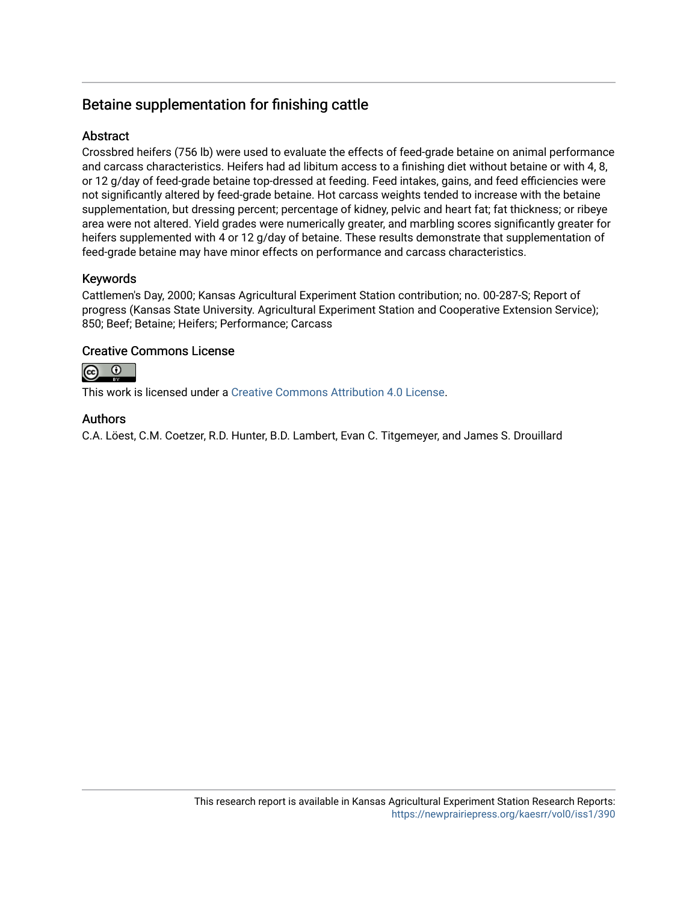## Betaine supplementation for finishing cattle

## Abstract

Crossbred heifers (756 lb) were used to evaluate the effects of feed-grade betaine on animal performance and carcass characteristics. Heifers had ad libitum access to a finishing diet without betaine or with 4, 8, or 12 g/day of feed-grade betaine top-dressed at feeding. Feed intakes, gains, and feed efficiencies were not significantly altered by feed-grade betaine. Hot carcass weights tended to increase with the betaine supplementation, but dressing percent; percentage of kidney, pelvic and heart fat; fat thickness; or ribeye area were not altered. Yield grades were numerically greater, and marbling scores significantly greater for heifers supplemented with 4 or 12 g/day of betaine. These results demonstrate that supplementation of feed-grade betaine may have minor effects on performance and carcass characteristics.

## Keywords

Cattlemen's Day, 2000; Kansas Agricultural Experiment Station contribution; no. 00-287-S; Report of progress (Kansas State University. Agricultural Experiment Station and Cooperative Extension Service); 850; Beef; Betaine; Heifers; Performance; Carcass

## Creative Commons License



This work is licensed under a [Creative Commons Attribution 4.0 License](https://creativecommons.org/licenses/by/4.0/).

## Authors

C.A. Löest, C.M. Coetzer, R.D. Hunter, B.D. Lambert, Evan C. Titgemeyer, and James S. Drouillard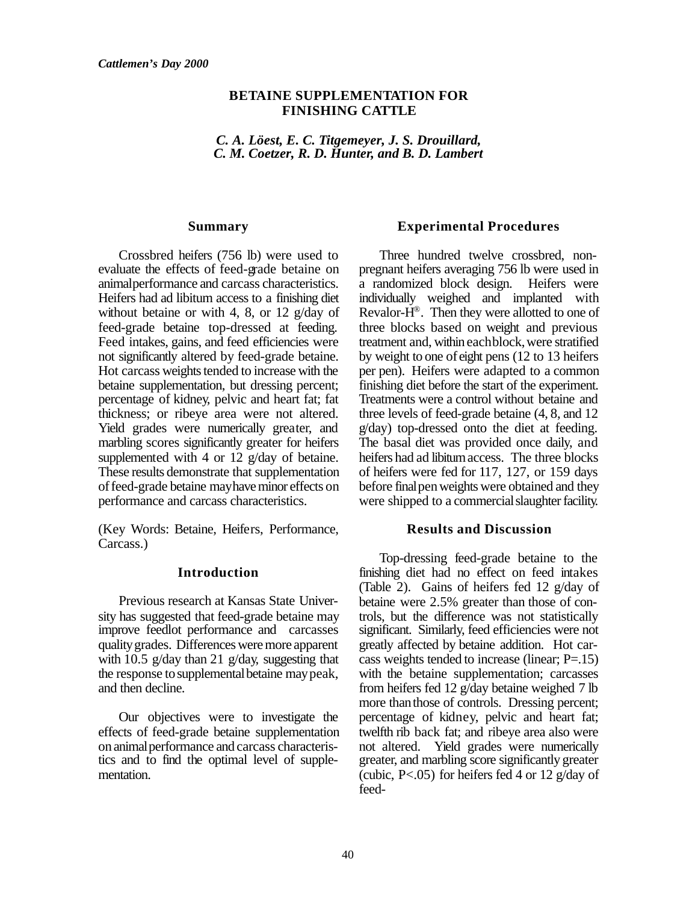### **BETAINE SUPPLEMENTATION FOR FINISHING CATTLE**

*C. A. Löest, E. C. Titgemeyer, J. S. Drouillard, C. M. Coetzer, R. D. Hunter, and B. D. Lambert*

#### **Summary**

Crossbred heifers (756 lb) were used to evaluate the effects of feed-grade betaine on animalperformance and carcass characteristics. Heifers had ad libitum access to a finishing diet without betaine or with 4, 8, or 12 g/day of feed-grade betaine top-dressed at feeding. Feed intakes, gains, and feed efficiencies were not significantly altered by feed-grade betaine. Hot carcass weights tended to increase with the betaine supplementation, but dressing percent; percentage of kidney, pelvic and heart fat; fat thickness; or ribeye area were not altered. Yield grades were numerically greater, and marbling scores significantly greater for heifers supplemented with 4 or 12 g/day of betaine. These results demonstrate that supplementation of feed-grade betaine may have minor effects on performance and carcass characteristics.

(Key Words: Betaine, Heifers, Performance, Carcass.)

#### **Introduction**

Previous research at Kansas State University has suggested that feed-grade betaine may improve feedlot performance and carcasses qualitygrades. Differences were more apparent with 10.5 g/day than 21 g/day, suggesting that the response to supplemental betaine may peak, and then decline.

Our objectives were to investigate the effects of feed-grade betaine supplementation on animalperformance and carcass characteristics and to find the optimal level of supplementation.

#### **Experimental Procedures**

Three hundred twelve crossbred, nonpregnant heifers averaging 756 lb were used in a randomized block design. Heifers were individually weighed and implanted with Revalor- $\dot{H}^{\circledast}$ . Then they were allotted to one of three blocks based on weight and previous treatment and, within eachblock,were stratified by weight to one of eight pens (12 to 13 heifers per pen). Heifers were adapted to a common finishing diet before the start of the experiment. Treatments were a control without betaine and three levels of feed-grade betaine (4, 8, and 12 g/day) top-dressed onto the diet at feeding. The basal diet was provided once daily, and heifers had ad libitum access. The three blocks of heifers were fed for 117, 127, or 159 days before final pen weights were obtained and they were shipped to a commercial slaughter facility.

#### **Results and Discussion**

Top-dressing feed-grade betaine to the finishing diet had no effect on feed intakes (Table 2). Gains of heifers fed 12 g/day of betaine were 2.5% greater than those of controls, but the difference was not statistically significant. Similarly, feed efficiencies were not greatly affected by betaine addition. Hot carcass weights tended to increase (linear; P=.15) with the betaine supplementation; carcasses from heifers fed 12 g/day betaine weighed 7 lb more than those of controls. Dressing percent; percentage of kidney, pelvic and heart fat; twelfth rib back fat; and ribeye area also were not altered. Yield grades were numerically greater, and marbling score significantly greater (cubic, P<.05) for heifers fed 4 or 12 g/day of feed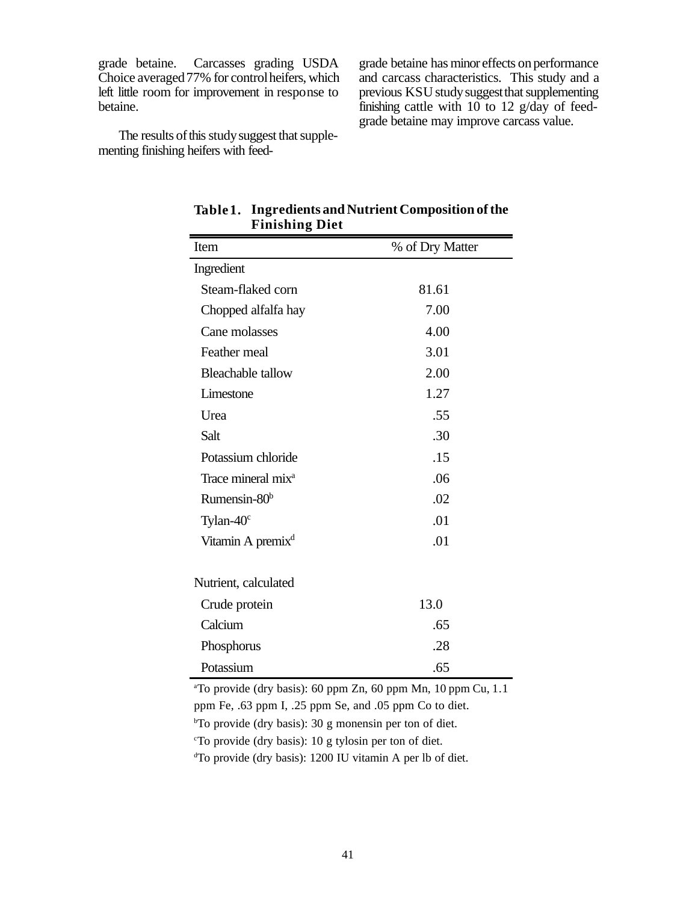grade betaine. Carcasses grading USDA Choice averaged 77% for control heifers, which left little room for improvement in response to betaine.

grade betaine has minor effects on performance and carcass characteristics. This study and a previous KSU study suggest that supplementing finishing cattle with 10 to 12 g/day of feedgrade betaine may improve carcass value.

The results of this study suggest that supplementing finishing heifers with feed-

| r imsinig Dict                 |                 |  |  |  |
|--------------------------------|-----------------|--|--|--|
| Item                           | % of Dry Matter |  |  |  |
| Ingredient                     |                 |  |  |  |
| Steam-flaked corn              | 81.61           |  |  |  |
| Chopped alfalfa hay            | 7.00            |  |  |  |
| Cane molasses                  | 4.00            |  |  |  |
| Feather meal                   | 3.01            |  |  |  |
| <b>Bleachable tallow</b>       | 2.00            |  |  |  |
| Limestone                      | 1.27            |  |  |  |
| Urea                           | .55             |  |  |  |
| Salt                           | .30             |  |  |  |
| Potassium chloride             | .15             |  |  |  |
| Trace mineral mix <sup>a</sup> | .06             |  |  |  |
| Rumensin-80 <sup>b</sup>       | .02             |  |  |  |
| Tylan- $40^\circ$              | .01             |  |  |  |
| Vitamin A premix <sup>d</sup>  | .01             |  |  |  |
| Nutrient, calculated           |                 |  |  |  |
| Crude protein                  | 13.0            |  |  |  |
| Calcium                        | .65             |  |  |  |
| Phosphorus                     | .28             |  |  |  |
| Potassium                      | .65             |  |  |  |

**Table1. Ingredients and Nutrient Composition of the Finishing Diet**

<sup>a</sup>To provide (dry basis): 60 ppm Zn, 60 ppm Mn, 10 ppm Cu, 1.1 ppm Fe, .63 ppm I, .25 ppm Se, and .05 ppm Co to diet.  $bT$ o provide (dry basis): 30 g monensin per ton of diet. <sup>c</sup>To provide (dry basis): 10 g tylosin per ton of diet. dTo provide (dry basis): 1200 IU vitamin A per lb of diet.